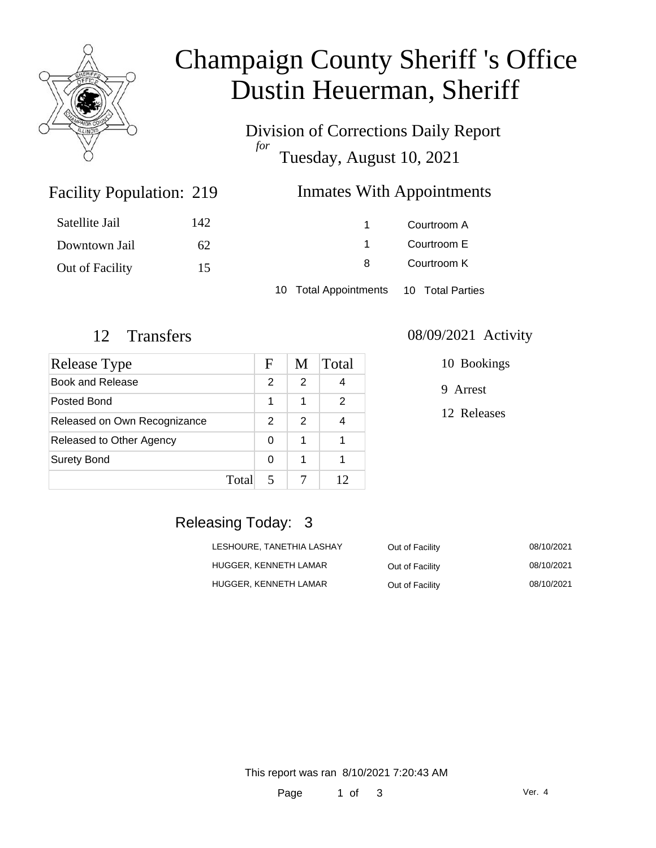

# Champaign County Sheriff 's Office Dustin Heuerman, Sheriff

Division of Corrections Daily Report *for* Tuesday, August 10, 2021

## Inmates With Appointments

| Satellite Jail  | 142 |                                        | Courtroom A |  |
|-----------------|-----|----------------------------------------|-------------|--|
| Downtown Jail   | 62  |                                        | Courtroom E |  |
| Out of Facility | 15  | 8                                      | Courtroom K |  |
|                 |     | 10 Total Appointments 10 Total Parties |             |  |

Facility Population: 219

| <b>Release Type</b>          |       | F             | M             | Total |
|------------------------------|-------|---------------|---------------|-------|
| <b>Book and Release</b>      |       | $\mathcal{P}$ | 2             |       |
| Posted Bond                  |       | 1             | 1             | 2     |
| Released on Own Recognizance |       | $\mathcal{P}$ | $\mathcal{P}$ |       |
| Released to Other Agency     |       | 0             | 1             |       |
| <b>Surety Bond</b>           |       | 0             | 1             |       |
|                              | Total |               |               | 12    |

#### 12 Transfers 08/09/2021 Activity

| 10 Bookings |
|-------------|
|             |

9 Arrest

12 Releases

### Releasing Today: 3

| LESHOURE. TANETHIA LASHAY | Out of Facility | 08/10/2021 |
|---------------------------|-----------------|------------|
| HUGGER. KENNETH LAMAR     | Out of Facility | 08/10/2021 |
| HUGGER. KENNETH LAMAR     | Out of Facility | 08/10/2021 |

This report was ran 8/10/2021 7:20:43 AM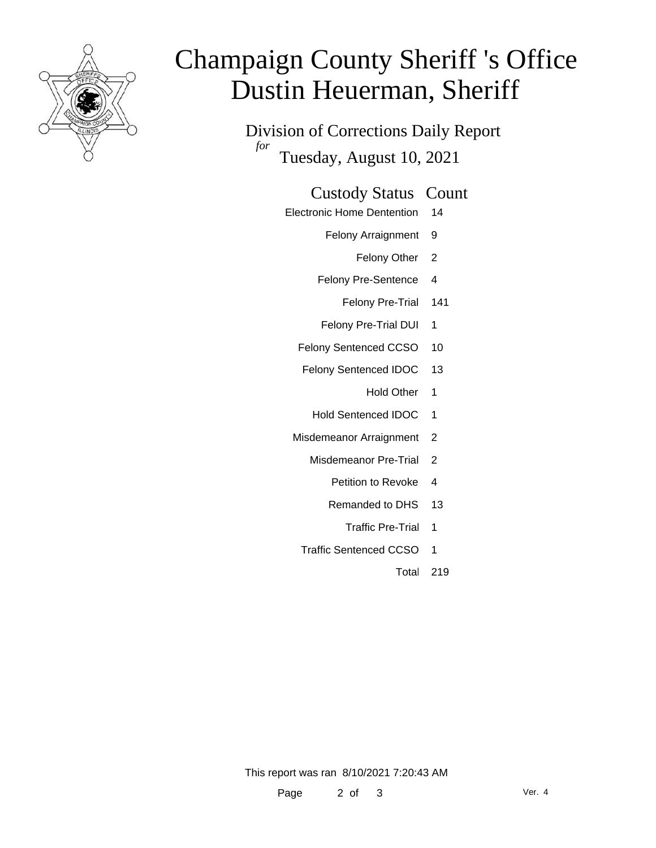

# Champaign County Sheriff 's Office Dustin Heuerman, Sheriff

Division of Corrections Daily Report *for* Tuesday, August 10, 2021

#### Custody Status Count

- Electronic Home Dentention 14
	- Felony Arraignment 9
		- Felony Other 2
	- Felony Pre-Sentence 4
		- Felony Pre-Trial 141
	- Felony Pre-Trial DUI 1
	- Felony Sentenced CCSO 10
	- Felony Sentenced IDOC 13
		- Hold Other 1
		- Hold Sentenced IDOC 1
	- Misdemeanor Arraignment 2
		- Misdemeanor Pre-Trial 2
			- Petition to Revoke 4
			- Remanded to DHS 13
				- Traffic Pre-Trial 1
		- Traffic Sentenced CCSO 1
			- Total 219

This report was ran 8/10/2021 7:20:43 AM